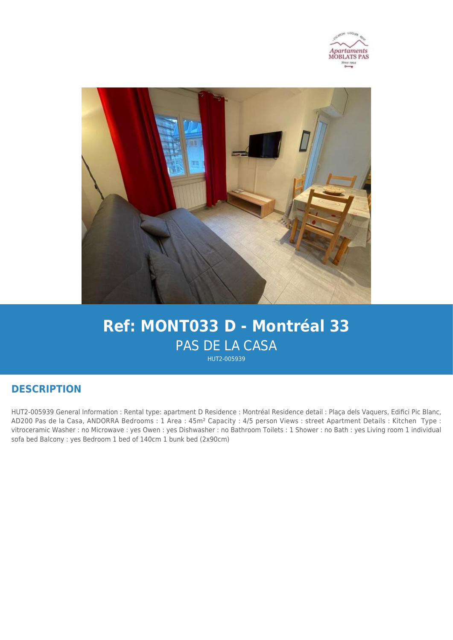



# **Ref: MONT033 D - Montréal 33** PAS DE LA CASA

HUT2-005939

## **DESCRIPTION**

HUT2-005939 General Information : Rental type: apartment D Residence : Montréal Residence detail : Plaça dels Vaquers, Edifici Pic Blanc, AD200 Pas de la Casa, ANDORRA Bedrooms : 1 Area : 45m² Capacity : 4/5 person Views : street Apartment Details : Kitchen Type : vitroceramic Washer : no Microwave : yes Owen : yes Dishwasher : no Bathroom Toilets : 1 Shower : no Bath : yes Living room 1 individual sofa bed Balcony : yes Bedroom 1 bed of 140cm 1 bunk bed (2x90cm)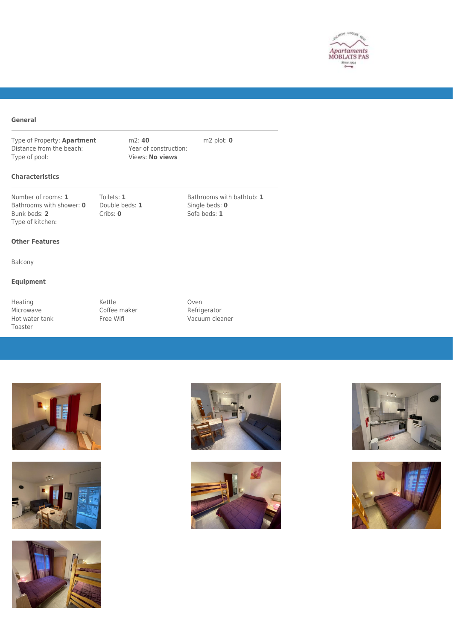

#### **General**

Type of Property: **Apartment** m2: **40** m2: **10** m2 plot: **0** Distance from the beach: Year of construction: Distance from the beach:<br>Type of pool:

**Views: No views** 

#### **Characteristics**

Number of rooms: 1 Toilets: 1 Bathrooms with bathtub: 1<br>Bathrooms with shower: 0 Double beds: 1 Single beds: 0 Bathrooms with shower: 0 Bunk beds: 2 Cribs: 0 Cribs: 0 Sofa beds: 1 Type of kitchen:

#### **Other Features**

Balcony

### **Equipment**

Heating **Kettle Communist Communist Research** Coven Microwave Coffee maker Refrigerator<br>
Hot water tank Free Wifi Shane Macuum clea Toaster

Free Wifi **Vacuum cleaner**